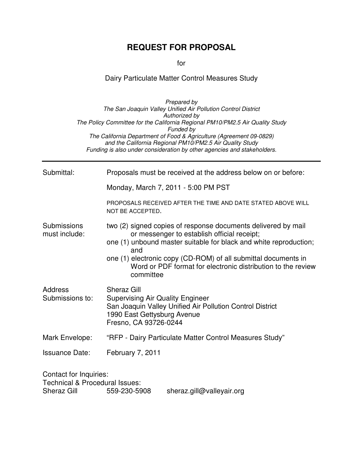# **REQUEST FOR PROPOSAL**

for

# Dairy Particulate Matter Control Measures Study

|                                                                                           | The San Joaquin Valley Unified Air Pollution Control District<br>Authorized by<br>The Policy Committee for the California Regional PM10/PM2.5 Air Quality Study<br>Funded by<br>The California Department of Food & Agriculture (Agreement 09-0829)<br>and the California Regional PM10/PM2.5 Air Quality Study                         |
|-------------------------------------------------------------------------------------------|-----------------------------------------------------------------------------------------------------------------------------------------------------------------------------------------------------------------------------------------------------------------------------------------------------------------------------------------|
|                                                                                           | Funding is also under consideration by other agencies and stakeholders.                                                                                                                                                                                                                                                                 |
| Submittal:                                                                                | Proposals must be received at the address below on or before:                                                                                                                                                                                                                                                                           |
|                                                                                           | Monday, March 7, 2011 - 5:00 PM PST                                                                                                                                                                                                                                                                                                     |
|                                                                                           | PROPOSALS RECEIVED AFTER THE TIME AND DATE STATED ABOVE WILL<br>NOT BE ACCEPTED.                                                                                                                                                                                                                                                        |
| Submissions<br>must include:                                                              | two (2) signed copies of response documents delivered by mail<br>or messenger to establish official receipt;<br>one (1) unbound master suitable for black and white reproduction;<br>and<br>one (1) electronic copy (CD-ROM) of all submittal documents in<br>Word or PDF format for electronic distribution to the review<br>committee |
| <b>Address</b><br>Submissions to:                                                         | <b>Sheraz Gill</b><br><b>Supervising Air Quality Engineer</b><br>San Joaquin Valley Unified Air Pollution Control District<br>1990 East Gettysburg Avenue<br>Fresno, CA 93726-0244                                                                                                                                                      |
| Mark Envelope:                                                                            | "RFP - Dairy Particulate Matter Control Measures Study"                                                                                                                                                                                                                                                                                 |
| <b>Issuance Date:</b>                                                                     | February 7, 2011                                                                                                                                                                                                                                                                                                                        |
| Contact for Inquiries:<br><b>Technical &amp; Procedural Issues:</b><br><b>Sheraz Gill</b> | 559-230-5908<br>sheraz.gill@valleyair.org                                                                                                                                                                                                                                                                                               |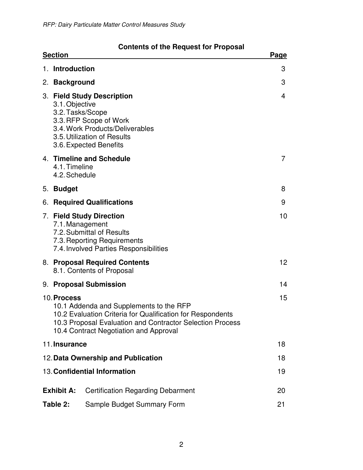| <b>Contents of the Request for Proposal</b> |  |  |
|---------------------------------------------|--|--|
|---------------------------------------------|--|--|

| <b>Section</b>                     |                                                                                                                                                                                                              | <b>Page</b>     |
|------------------------------------|--------------------------------------------------------------------------------------------------------------------------------------------------------------------------------------------------------------|-----------------|
| 1. Introduction                    |                                                                                                                                                                                                              | 3               |
| 2. Background                      |                                                                                                                                                                                                              | 3               |
| 3.1. Objective<br>3.2. Tasks/Scope | 3. Field Study Description<br>3.3. RFP Scope of Work<br>3.4. Work Products/Deliverables<br>3.5. Utilization of Results<br>3.6. Expected Benefits                                                             | 4               |
| 4.1. Timeline<br>4.2. Schedule     | 4. Timeline and Schedule                                                                                                                                                                                     | 7               |
| 5. Budget                          |                                                                                                                                                                                                              | 8               |
|                                    | 6. Required Qualifications                                                                                                                                                                                   | 9               |
| 7.1. Management                    | 7. Field Study Direction<br>7.2. Submittal of Results<br>7.3. Reporting Requirements<br>7.4. Involved Parties Responsibilities                                                                               | 10              |
|                                    | 8. Proposal Required Contents<br>8.1. Contents of Proposal                                                                                                                                                   | 12 <sup>°</sup> |
|                                    | 9. Proposal Submission                                                                                                                                                                                       | 14              |
| 10. Process                        | 10.1 Addenda and Supplements to the RFP<br>10.2 Evaluation Criteria for Qualification for Respondents<br>10.3 Proposal Evaluation and Contractor Selection Process<br>10.4 Contract Negotiation and Approval | 15              |
| 11. Insurance                      |                                                                                                                                                                                                              | 18              |
|                                    | 12. Data Ownership and Publication                                                                                                                                                                           | 18              |
|                                    | 13. Confidential Information                                                                                                                                                                                 | 19              |
| <b>Exhibit A:</b>                  | <b>Certification Regarding Debarment</b>                                                                                                                                                                     | 20              |
| Table 2:                           | Sample Budget Summary Form                                                                                                                                                                                   | 21              |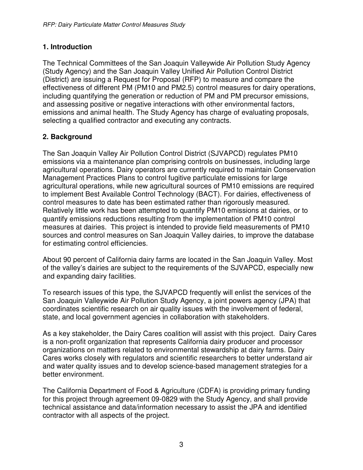### **1. Introduction**

The Technical Committees of the San Joaquin Valleywide Air Pollution Study Agency (Study Agency) and the San Joaquin Valley Unified Air Pollution Control District (District) are issuing a Request for Proposal (RFP) to measure and compare the effectiveness of different PM (PM10 and PM2.5) control measures for dairy operations, including quantifying the generation or reduction of PM and PM precursor emissions, and assessing positive or negative interactions with other environmental factors, emissions and animal health. The Study Agency has charge of evaluating proposals, selecting a qualified contractor and executing any contracts.

# **2. Background**

The San Joaquin Valley Air Pollution Control District (SJVAPCD) regulates PM10 emissions via a maintenance plan comprising controls on businesses, including large agricultural operations. Dairy operators are currently required to maintain Conservation Management Practices Plans to control fugitive particulate emissions for large agricultural operations, while new agricultural sources of PM10 emissions are required to implement Best Available Control Technology (BACT). For dairies, effectiveness of control measures to date has been estimated rather than rigorously measured. Relatively little work has been attempted to quantify PM10 emissions at dairies, or to quantify emissions reductions resulting from the implementation of PM10 control measures at dairies. This project is intended to provide field measurements of PM10 sources and control measures on San Joaquin Valley dairies, to improve the database for estimating control efficiencies.

About 90 percent of California dairy farms are located in the San Joaquin Valley. Most of the valley's dairies are subject to the requirements of the SJVAPCD, especially new and expanding dairy facilities.

To research issues of this type, the SJVAPCD frequently will enlist the services of the San Joaquin Valleywide Air Pollution Study Agency, a joint powers agency (JPA) that coordinates scientific research on air quality issues with the involvement of federal, state, and local government agencies in collaboration with stakeholders.

As a key stakeholder, the Dairy Cares coalition will assist with this project. Dairy Cares is a non-profit organization that represents California dairy producer and processor organizations on matters related to environmental stewardship at dairy farms. Dairy Cares works closely with regulators and scientific researchers to better understand air and water quality issues and to develop science-based management strategies for a better environment.

The California Department of Food & Agriculture (CDFA) is providing primary funding for this project through agreement 09-0829 with the Study Agency, and shall provide technical assistance and data/information necessary to assist the JPA and identified contractor with all aspects of the project.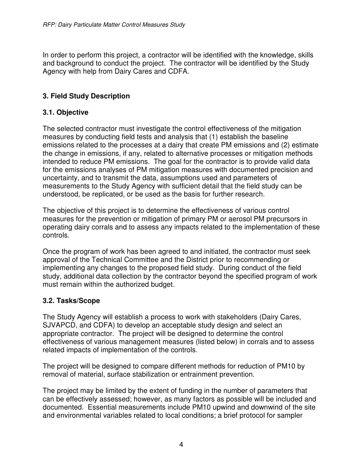In order to perform this project, a contractor will be identified with the knowledge, skills and background to conduct the project. The contractor will be identified by the Study Agency with help from Dairy Cares and CDFA.

# **3. Field Study Description**

### **3.1. Objective**

The selected contractor must investigate the control effectiveness of the mitigation measures by conducting field tests and analysis that (1) establish the baseline emissions related to the processes at a dairy that create PM emissions and (2) estimate the change in emissions, if any, related to alternative processes or mitigation methods intended to reduce PM emissions. The goal for the contractor is to provide valid data for the emissions analyses of PM mitigation measures with documented precision and uncertainty, and to transmit the data, assumptions used and parameters of measurements to the Study Agency with sufficient detail that the field study can be understood, be replicated, or be used as the basis for further research.

The objective of this project is to determine the effectiveness of various control measures for the prevention or mitigation of primary PM or aerosol PM precursors in operating dairy corrals and to assess any impacts related to the implementation of these controls.

Once the program of work has been agreed to and initiated, the contractor must seek approval of the Technical Committee and the District prior to recommending or implementing any changes to the proposed field study. During conduct of the field study, additional data collection by the contractor beyond the specified program of work must remain within the authorized budget.

### **3.2. Tasks/Scope**

The Study Agency will establish a process to work with stakeholders (Dairy Cares, SJVAPCD, and CDFA) to develop an acceptable study design and select an appropriate contractor. The project will be designed to determine the control effectiveness of various management measures (listed below) in corrals and to assess related impacts of implementation of the controls.

The project will be designed to compare different methods for reduction of PM10 by removal of material, surface stabilization or entrainment prevention.

The project may be limited by the extent of funding in the number of parameters that can be effectively assessed; however, as many factors as possible will be included and documented. Essential measurements include PM10 upwind and downwind of the site and environmental variables related to local conditions; a brief protocol for sampler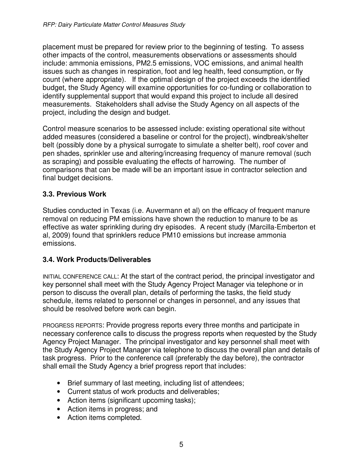placement must be prepared for review prior to the beginning of testing. To assess other impacts of the control, measurements observations or assessments should include: ammonia emissions, PM2.5 emissions, VOC emissions, and animal health issues such as changes in respiration, foot and leg health, feed consumption, or fly count (where appropriate). If the optimal design of the project exceeds the identified budget, the Study Agency will examine opportunities for co-funding or collaboration to identify supplemental support that would expand this project to include all desired measurements. Stakeholders shall advise the Study Agency on all aspects of the project, including the design and budget.

Control measure scenarios to be assessed include: existing operational site without added measures (considered a baseline or control for the project), windbreak/shelter belt (possibly done by a physical surrogate to simulate a shelter belt), roof cover and pen shades, sprinkler use and altering/increasing frequency of manure removal (such as scraping) and possible evaluating the effects of harrowing. The number of comparisons that can be made will be an important issue in contractor selection and final budget decisions.

### **3.3. Previous Work**

Studies conducted in Texas (i.e. Auvermann et al) on the efficacy of frequent manure removal on reducing PM emissions have shown the reduction to manure to be as effective as water sprinkling during dry episodes. A recent study (Marcilla-Emberton et al, 2009) found that sprinklers reduce PM10 emissions but increase ammonia emissions.

### **3.4. Work Products/Deliverables**

INITIAL CONFERENCE CALL: At the start of the contract period, the principal investigator and key personnel shall meet with the Study Agency Project Manager via telephone or in person to discuss the overall plan, details of performing the tasks, the field study schedule, items related to personnel or changes in personnel, and any issues that should be resolved before work can begin.

PROGRESS REPORTS: Provide progress reports every three months and participate in necessary conference calls to discuss the progress reports when requested by the Study Agency Project Manager. The principal investigator and key personnel shall meet with the Study Agency Project Manager via telephone to discuss the overall plan and details of task progress. Prior to the conference call (preferably the day before), the contractor shall email the Study Agency a brief progress report that includes:

- Brief summary of last meeting, including list of attendees;
- Current status of work products and deliverables;
- Action items (significant upcoming tasks);
- Action items in progress; and
- Action items completed.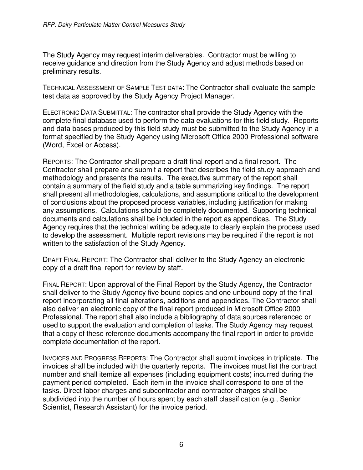The Study Agency may request interim deliverables. Contractor must be willing to receive guidance and direction from the Study Agency and adjust methods based on preliminary results.

TECHNICAL ASSESSMENT OF SAMPLE TEST DATA: The Contractor shall evaluate the sample test data as approved by the Study Agency Project Manager.

ELECTRONIC DATA SUBMITTAL: The contractor shall provide the Study Agency with the complete final database used to perform the data evaluations for this field study. Reports and data bases produced by this field study must be submitted to the Study Agency in a format specified by the Study Agency using Microsoft Office 2000 Professional software (Word, Excel or Access).

REPORTS: The Contractor shall prepare a draft final report and a final report. The Contractor shall prepare and submit a report that describes the field study approach and methodology and presents the results. The executive summary of the report shall contain a summary of the field study and a table summarizing key findings. The report shall present all methodologies, calculations, and assumptions critical to the development of conclusions about the proposed process variables, including justification for making any assumptions. Calculations should be completely documented. Supporting technical documents and calculations shall be included in the report as appendices. The Study Agency requires that the technical writing be adequate to clearly explain the process used to develop the assessment. Multiple report revisions may be required if the report is not written to the satisfaction of the Study Agency.

DRAFT FINAL REPORT: The Contractor shall deliver to the Study Agency an electronic copy of a draft final report for review by staff.

FINAL REPORT: Upon approval of the Final Report by the Study Agency, the Contractor shall deliver to the Study Agency five bound copies and one unbound copy of the final report incorporating all final alterations, additions and appendices. The Contractor shall also deliver an electronic copy of the final report produced in Microsoft Office 2000 Professional. The report shall also include a bibliography of data sources referenced or used to support the evaluation and completion of tasks. The Study Agency may request that a copy of these reference documents accompany the final report in order to provide complete documentation of the report.

INVOICES AND PROGRESS REPORTS: The Contractor shall submit invoices in triplicate. The invoices shall be included with the quarterly reports. The invoices must list the contract number and shall itemize all expenses (including equipment costs) incurred during the payment period completed. Each item in the invoice shall correspond to one of the tasks. Direct labor charges and subcontractor and contractor charges shall be subdivided into the number of hours spent by each staff classification (e.g., Senior Scientist, Research Assistant) for the invoice period.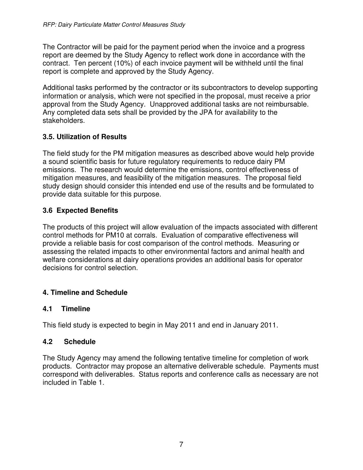The Contractor will be paid for the payment period when the invoice and a progress report are deemed by the Study Agency to reflect work done in accordance with the contract. Ten percent (10%) of each invoice payment will be withheld until the final report is complete and approved by the Study Agency.

Additional tasks performed by the contractor or its subcontractors to develop supporting information or analysis, which were not specified in the proposal, must receive a prior approval from the Study Agency. Unapproved additional tasks are not reimbursable. Any completed data sets shall be provided by the JPA for availability to the stakeholders.

### **3.5. Utilization of Results**

The field study for the PM mitigation measures as described above would help provide a sound scientific basis for future regulatory requirements to reduce dairy PM emissions. The research would determine the emissions, control effectiveness of mitigation measures, and feasibility of the mitigation measures. The proposal field study design should consider this intended end use of the results and be formulated to provide data suitable for this purpose.

# **3.6 Expected Benefits**

The products of this project will allow evaluation of the impacts associated with different control methods for PM10 at corrals. Evaluation of comparative effectiveness will provide a reliable basis for cost comparison of the control methods. Measuring or assessing the related impacts to other environmental factors and animal health and welfare considerations at dairy operations provides an additional basis for operator decisions for control selection.

### **4. Timeline and Schedule**

### **4.1 Timeline**

This field study is expected to begin in May 2011 and end in January 2011.

### **4.2 Schedule**

The Study Agency may amend the following tentative timeline for completion of work products. Contractor may propose an alternative deliverable schedule. Payments must correspond with deliverables. Status reports and conference calls as necessary are not included in Table 1.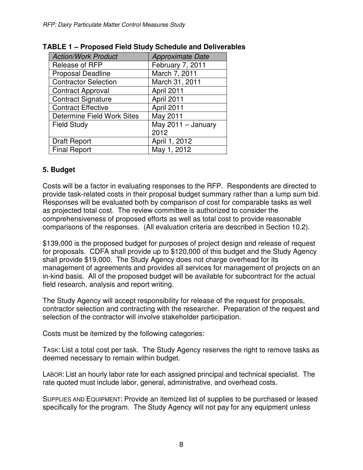| <b>Action/Work Product</b>        | <b>Approximate Date</b> |
|-----------------------------------|-------------------------|
| Release of RFP                    | February 7, 2011        |
| <b>Proposal Deadline</b>          | March 7, 2011           |
| <b>Contractor Selection</b>       | March 31, 2011          |
| <b>Contract Approval</b>          | April 2011              |
| <b>Contract Signature</b>         | April 2011              |
| <b>Contract Effective</b>         | April 2011              |
| <b>Determine Field Work Sites</b> | May 2011                |
| <b>Field Study</b>                | May 2011 - January      |
|                                   | 2012                    |
| <b>Draft Report</b>               | April 1, 2012           |
| <b>Final Report</b>               | May 1, 2012             |

#### **TABLE 1 – Proposed Field Study Schedule and Deliverables**

#### **5. Budget**

Costs will be a factor in evaluating responses to the RFP. Respondents are directed to provide task-related costs in their proposal budget summary rather than a lump sum bid. Responses will be evaluated both by comparison of cost for comparable tasks as well as projected total cost. The review committee is authorized to consider the comprehensiveness of proposed efforts as well as total cost to provide reasonable comparisons of the responses. (All evaluation criteria are described in Section 10.2).

\$139,000 is the proposed budget for purposes of project design and release of request for proposals. CDFA shall provide up to \$120,000 of this budget and the Study Agency shall provide \$19,000. The Study Agency does not charge overhead for its management of agreements and provides all services for management of projects on an in-kind basis. All of the proposed budget will be available for subcontract for the actual field research, analysis and report writing.

The Study Agency will accept responsibility for release of the request for proposals, contractor selection and contracting with the researcher. Preparation of the request and selection of the contractor will involve stakeholder participation.

Costs must be itemized by the following categories:

TASK: List a total cost per task. The Study Agency reserves the right to remove tasks as deemed necessary to remain within budget.

LABOR: List an hourly labor rate for each assigned principal and technical specialist. The rate quoted must include labor, general, administrative, and overhead costs.

SUPPLIES AND EQUIPMENT: Provide an itemized list of supplies to be purchased or leased specifically for the program. The Study Agency will not pay for any equipment unless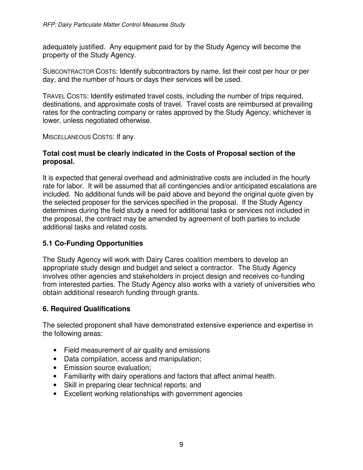adequately justified. Any equipment paid for by the Study Agency will become the property of the Study Agency.

SUBCONTRACTOR COSTS: Identify subcontractors by name, list their cost per hour or per day, and the number of hours or days their services will be used.

TRAVEL COSTS: Identify estimated travel costs, including the number of trips required, destinations, and approximate costs of travel. Travel costs are reimbursed at prevailing rates for the contracting company or rates approved by the Study Agency, whichever is lower, unless negotiated otherwise.

MISCELLANEOUS COSTS: If any.

#### **Total cost must be clearly indicated in the Costs of Proposal section of the proposal.**

It is expected that general overhead and administrative costs are included in the hourly rate for labor. It will be assumed that all contingencies and/or anticipated escalations are included. No additional funds will be paid above and beyond the original quote given by the selected proposer for the services specified in the proposal. If the Study Agency determines during the field study a need for additional tasks or services not included in the proposal, the contract may be amended by agreement of both parties to include additional tasks and related costs.

### **5.1 Co-Funding Opportunities**

The Study Agency will work with Dairy Cares coalition members to develop an appropriate study design and budget and select a contractor. The Study Agency involves other agencies and stakeholders in project design and receives co-funding from interested parties. The Study Agency also works with a variety of universities who obtain additional research funding through grants.

### **6. Required Qualifications**

The selected proponent shall have demonstrated extensive experience and expertise in the following areas:

- Field measurement of air quality and emissions
- Data compilation, access and manipulation;
- Emission source evaluation;
- Familiarity with dairy operations and factors that affect animal health.
- Skill in preparing clear technical reports; and
- Excellent working relationships with government agencies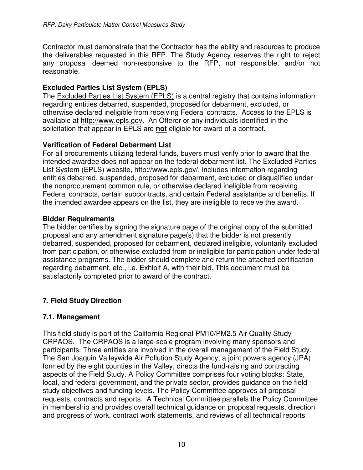Contractor must demonstrate that the Contractor has the ability and resources to produce the deliverables requested in this RFP. The Study Agency reserves the right to reject any proposal deemed non-responsive to the RFP, not responsible, and/or not reasonable.

#### **Excluded Parties List System (EPLS)**

The Excluded Parties List System (EPLS) is a central registry that contains information regarding entities debarred, suspended, proposed for debarment, excluded, or otherwise declared ineligible from receiving Federal contracts. Access to the EPLS is available at http://www.epls.gov. An Offeror or any individuals identified in the solicitation that appear in EPLS are **not** eligible for award of a contract.

#### **Verification of Federal Debarment List**

For all procurements utilizing federal funds, buyers must verify prior to award that the intended awardee does not appear on the federal debarment list. The Excluded Parties List System (EPLS) website, http://www.epls.gov/, includes information regarding entities debarred, suspended, proposed for debarment, excluded or disqualified under the nonprocurement common rule, or otherwise declared ineligible from receiving Federal contracts, certain subcontracts, and certain Federal assistance and benefits. If the intended awardee appears on the list, they are ineligible to receive the award.

#### **Bidder Requirements**

The bidder certifies by signing the signature page of the original copy of the submitted proposal and any amendment signature page(s) that the bidder is not presently debarred, suspended, proposed for debarment, declared ineligible, voluntarily excluded from participation, or otherwise excluded from or ineligible for participation under federal assistance programs. The bidder should complete and return the attached certification regarding debarment, etc., i.e. Exhibit A, with their bid. This document must be satisfactorily completed prior to award of the contract.

# **7. Field Study Direction**

### **7.1. Management**

This field study is part of the California Regional PM10/PM2.5 Air Quality Study CRPAQS. The CRPAQS is a large-scale program involving many sponsors and participants. Three entities are involved in the overall management of the Field Study. The San Joaquin Valleywide Air Pollution Study Agency, a joint powers agency (JPA) formed by the eight counties in the Valley, directs the fund-raising and contracting aspects of the Field Study. A Policy Committee comprises four voting blocks: State, local, and federal government, and the private sector, provides guidance on the field study objectives and funding levels. The Policy Committee approves all proposal requests, contracts and reports. A Technical Committee parallels the Policy Committee in membership and provides overall technical guidance on proposal requests, direction and progress of work, contract work statements, and reviews of all technical reports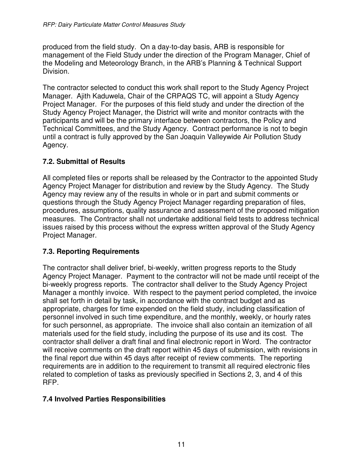produced from the field study. On a day-to-day basis, ARB is responsible for management of the Field Study under the direction of the Program Manager, Chief of the Modeling and Meteorology Branch, in the ARB's Planning & Technical Support Division.

The contractor selected to conduct this work shall report to the Study Agency Project Manager. Ajith Kaduwela, Chair of the CRPAQS TC, will appoint a Study Agency Project Manager. For the purposes of this field study and under the direction of the Study Agency Project Manager, the District will write and monitor contracts with the participants and will be the primary interface between contractors, the Policy and Technical Committees, and the Study Agency. Contract performance is not to begin until a contract is fully approved by the San Joaquin Valleywide Air Pollution Study Agency.

### **7.2. Submittal of Results**

All completed files or reports shall be released by the Contractor to the appointed Study Agency Project Manager for distribution and review by the Study Agency. The Study Agency may review any of the results in whole or in part and submit comments or questions through the Study Agency Project Manager regarding preparation of files, procedures, assumptions, quality assurance and assessment of the proposed mitigation measures. The Contractor shall not undertake additional field tests to address technical issues raised by this process without the express written approval of the Study Agency Project Manager.

# **7.3. Reporting Requirements**

The contractor shall deliver brief, bi-weekly, written progress reports to the Study Agency Project Manager. Payment to the contractor will not be made until receipt of the bi-weekly progress reports. The contractor shall deliver to the Study Agency Project Manager a monthly invoice. With respect to the payment period completed, the invoice shall set forth in detail by task, in accordance with the contract budget and as appropriate, charges for time expended on the field study, including classification of personnel involved in such time expenditure, and the monthly, weekly, or hourly rates for such personnel, as appropriate. The invoice shall also contain an itemization of all materials used for the field study, including the purpose of its use and its cost. The contractor shall deliver a draft final and final electronic report in Word. The contractor will receive comments on the draft report within 45 days of submission, with revisions in the final report due within 45 days after receipt of review comments. The reporting requirements are in addition to the requirement to transmit all required electronic files related to completion of tasks as previously specified in Sections 2, 3, and 4 of this RFP.

### **7.4 Involved Parties Responsibilities**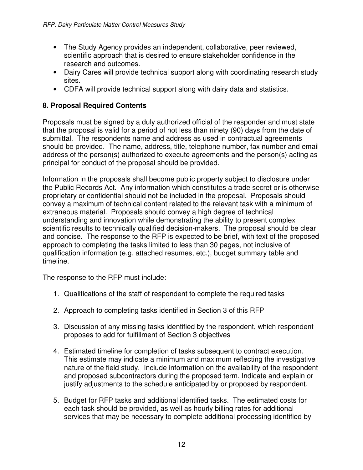- The Study Agency provides an independent, collaborative, peer reviewed, scientific approach that is desired to ensure stakeholder confidence in the research and outcomes.
- Dairy Cares will provide technical support along with coordinating research study sites.
- CDFA will provide technical support along with dairy data and statistics.

### **8. Proposal Required Contents**

Proposals must be signed by a duly authorized official of the responder and must state that the proposal is valid for a period of not less than ninety (90) days from the date of submittal. The respondents name and address as used in contractual agreements should be provided. The name, address, title, telephone number, fax number and email address of the person(s) authorized to execute agreements and the person(s) acting as principal for conduct of the proposal should be provided.

Information in the proposals shall become public property subject to disclosure under the Public Records Act. Any information which constitutes a trade secret or is otherwise proprietary or confidential should not be included in the proposal. Proposals should convey a maximum of technical content related to the relevant task with a minimum of extraneous material. Proposals should convey a high degree of technical understanding and innovation while demonstrating the ability to present complex scientific results to technically qualified decision-makers. The proposal should be clear and concise. The response to the RFP is expected to be brief, with text of the proposed approach to completing the tasks limited to less than 30 pages, not inclusive of qualification information (e.g. attached resumes, etc.), budget summary table and timeline.

The response to the RFP must include:

- 1. Qualifications of the staff of respondent to complete the required tasks
- 2. Approach to completing tasks identified in Section 3 of this RFP
- 3. Discussion of any missing tasks identified by the respondent, which respondent proposes to add for fulfillment of Section 3 objectives
- 4. Estimated timeline for completion of tasks subsequent to contract execution. This estimate may indicate a minimum and maximum reflecting the investigative nature of the field study. Include information on the availability of the respondent and proposed subcontractors during the proposed term. Indicate and explain or justify adjustments to the schedule anticipated by or proposed by respondent.
- 5. Budget for RFP tasks and additional identified tasks. The estimated costs for each task should be provided, as well as hourly billing rates for additional services that may be necessary to complete additional processing identified by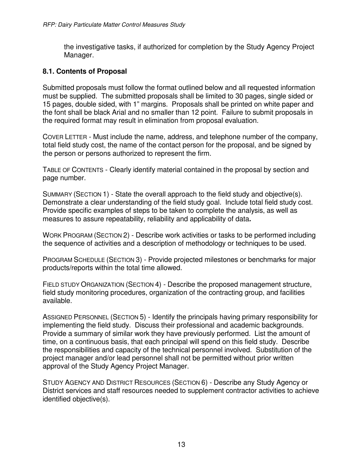the investigative tasks, if authorized for completion by the Study Agency Project Manager.

#### **8.1. Contents of Proposal**

Submitted proposals must follow the format outlined below and all requested information must be supplied. The submitted proposals shall be limited to 30 pages, single sided or 15 pages, double sided, with 1" margins. Proposals shall be printed on white paper and the font shall be black Arial and no smaller than 12 point. Failure to submit proposals in the required format may result in elimination from proposal evaluation.

COVER LETTER - Must include the name, address, and telephone number of the company, total field study cost, the name of the contact person for the proposal, and be signed by the person or persons authorized to represent the firm.

TABLE OF CONTENTS - Clearly identify material contained in the proposal by section and page number.

SUMMARY (SECTION 1) - State the overall approach to the field study and objective(s). Demonstrate a clear understanding of the field study goal. Include total field study cost. Provide specific examples of steps to be taken to complete the analysis, as well as measures to assure repeatability, reliability and applicability of data**.** 

WORK PROGRAM (SECTION 2) - Describe work activities or tasks to be performed including the sequence of activities and a description of methodology or techniques to be used.

PROGRAM SCHEDULE (SECTION 3) - Provide projected milestones or benchmarks for major products/reports within the total time allowed.

FIELD STUDY ORGANIZATION (SECTION 4) - Describe the proposed management structure, field study monitoring procedures, organization of the contracting group, and facilities available.

ASSIGNED PERSONNEL (SECTION 5) - Identify the principals having primary responsibility for implementing the field study. Discuss their professional and academic backgrounds. Provide a summary of similar work they have previously performed. List the amount of time, on a continuous basis, that each principal will spend on this field study. Describe the responsibilities and capacity of the technical personnel involved. Substitution of the project manager and/or lead personnel shall not be permitted without prior written approval of the Study Agency Project Manager.

STUDY AGENCY AND DISTRICT RESOURCES (SECTION 6) - Describe any Study Agency or District services and staff resources needed to supplement contractor activities to achieve identified objective(s).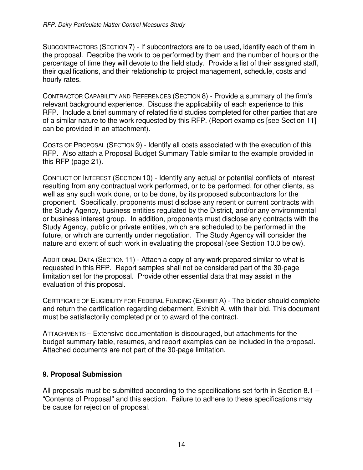SUBCONTRACTORS (SECTION 7) - If subcontractors are to be used, identify each of them in the proposal. Describe the work to be performed by them and the number of hours or the percentage of time they will devote to the field study. Provide a list of their assigned staff, their qualifications, and their relationship to project management, schedule, costs and hourly rates.

CONTRACTOR CAPABILITY AND REFERENCES (SECTION 8) - Provide a summary of the firm's relevant background experience. Discuss the applicability of each experience to this RFP. Include a brief summary of related field studies completed for other parties that are of a similar nature to the work requested by this RFP. (Report examples [see Section 11] can be provided in an attachment).

COSTS OF PROPOSAL (SECTION 9) - Identify all costs associated with the execution of this RFP. Also attach a Proposal Budget Summary Table similar to the example provided in this RFP (page 21).

CONFLICT OF INTEREST (SECTION 10) - Identify any actual or potential conflicts of interest resulting from any contractual work performed, or to be performed, for other clients, as well as any such work done, or to be done, by its proposed subcontractors for the proponent. Specifically, proponents must disclose any recent or current contracts with the Study Agency, business entities regulated by the District, and/or any environmental or business interest group. In addition, proponents must disclose any contracts with the Study Agency, public or private entities, which are scheduled to be performed in the future, or which are currently under negotiation. The Study Agency will consider the nature and extent of such work in evaluating the proposal (see Section 10.0 below).

ADDITIONAL DATA (SECTION 11) - Attach a copy of any work prepared similar to what is requested in this RFP. Report samples shall not be considered part of the 30-page limitation set for the proposal. Provide other essential data that may assist in the evaluation of this proposal.

CERTIFICATE OF ELIGIBILITY FOR FEDERAL FUNDING (EXHIBIT A) - The bidder should complete and return the certification regarding debarment, Exhibit A, with their bid. This document must be satisfactorily completed prior to award of the contract.

ATTACHMENTS – Extensive documentation is discouraged, but attachments for the budget summary table, resumes, and report examples can be included in the proposal. Attached documents are not part of the 30-page limitation.

### **9. Proposal Submission**

All proposals must be submitted according to the specifications set forth in Section 8.1 – "Contents of Proposal" and this section. Failure to adhere to these specifications may be cause for rejection of proposal.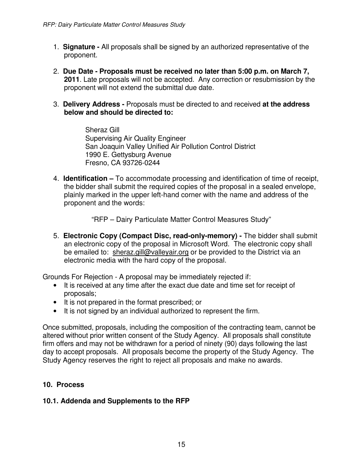- 1. **Signature -** All proposals shall be signed by an authorized representative of the proponent.
- 2. **Due Date Proposals must be received no later than 5:00 p.m. on March 7, 2011**. Late proposals will not be accepted. Any correction or resubmission by the proponent will not extend the submittal due date.
- 3. **Delivery Address -** Proposals must be directed to and received **at the address below and should be directed to:**

Sheraz Gill Supervising Air Quality Engineer San Joaquin Valley Unified Air Pollution Control District 1990 E. Gettysburg Avenue Fresno, CA 93726-0244

4. **Identification –** To accommodate processing and identification of time of receipt, the bidder shall submit the required copies of the proposal in a sealed envelope, plainly marked in the upper left-hand corner with the name and address of the proponent and the words:

"RFP – Dairy Particulate Matter Control Measures Study"

5. **Electronic Copy (Compact Disc, read-only-memory) -** The bidder shall submit an electronic copy of the proposal in Microsoft Word. The electronic copy shall be emailed to: sheraz.gill@valleyair.org or be provided to the District via an electronic media with the hard copy of the proposal.

Grounds For Rejection - A proposal may be immediately rejected if:

- It is received at any time after the exact due date and time set for receipt of proposals;
- It is not prepared in the format prescribed; or
- It is not signed by an individual authorized to represent the firm.

Once submitted, proposals, including the composition of the contracting team, cannot be altered without prior written consent of the Study Agency. All proposals shall constitute firm offers and may not be withdrawn for a period of ninety (90) days following the last day to accept proposals. All proposals become the property of the Study Agency. The Study Agency reserves the right to reject all proposals and make no awards.

#### **10. Process**

#### **10.1. Addenda and Supplements to the RFP**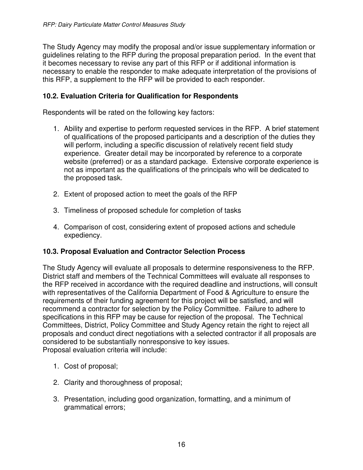The Study Agency may modify the proposal and/or issue supplementary information or guidelines relating to the RFP during the proposal preparation period. In the event that it becomes necessary to revise any part of this RFP or if additional information is necessary to enable the responder to make adequate interpretation of the provisions of this RFP, a supplement to the RFP will be provided to each responder.

#### **10.2. Evaluation Criteria for Qualification for Respondents**

Respondents will be rated on the following key factors:

- 1. Ability and expertise to perform requested services in the RFP. A brief statement of qualifications of the proposed participants and a description of the duties they will perform, including a specific discussion of relatively recent field study experience. Greater detail may be incorporated by reference to a corporate website (preferred) or as a standard package. Extensive corporate experience is not as important as the qualifications of the principals who will be dedicated to the proposed task.
- 2. Extent of proposed action to meet the goals of the RFP
- 3. Timeliness of proposed schedule for completion of tasks
- 4. Comparison of cost, considering extent of proposed actions and schedule expediency.

### **10.3. Proposal Evaluation and Contractor Selection Process**

The Study Agency will evaluate all proposals to determine responsiveness to the RFP. District staff and members of the Technical Committees will evaluate all responses to the RFP received in accordance with the required deadline and instructions, will consult with representatives of the California Department of Food & Agriculture to ensure the requirements of their funding agreement for this project will be satisfied, and will recommend a contractor for selection by the Policy Committee. Failure to adhere to specifications in this RFP may be cause for rejection of the proposal. The Technical Committees, District, Policy Committee and Study Agency retain the right to reject all proposals and conduct direct negotiations with a selected contractor if all proposals are considered to be substantially nonresponsive to key issues. Proposal evaluation criteria will include:

- 1. Cost of proposal;
- 2. Clarity and thoroughness of proposal;
- 3. Presentation, including good organization, formatting, and a minimum of grammatical errors;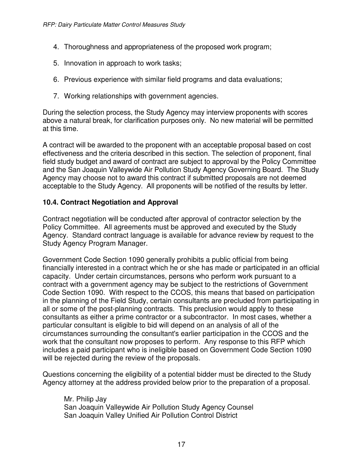- 4. Thoroughness and appropriateness of the proposed work program;
- 5. Innovation in approach to work tasks;
- 6. Previous experience with similar field programs and data evaluations;
- 7. Working relationships with government agencies.

During the selection process, the Study Agency may interview proponents with scores above a natural break, for clarification purposes only. No new material will be permitted at this time.

A contract will be awarded to the proponent with an acceptable proposal based on cost effectiveness and the criteria described in this section. The selection of proponent, final field study budget and award of contract are subject to approval by the Policy Committee and the San Joaquin Valleywide Air Pollution Study Agency Governing Board. The Study Agency may choose not to award this contract if submitted proposals are not deemed acceptable to the Study Agency. All proponents will be notified of the results by letter.

### **10.4. Contract Negotiation and Approval**

Contract negotiation will be conducted after approval of contractor selection by the Policy Committee. All agreements must be approved and executed by the Study Agency. Standard contract language is available for advance review by request to the Study Agency Program Manager.

Government Code Section 1090 generally prohibits a public official from being financially interested in a contract which he or she has made or participated in an official capacity. Under certain circumstances, persons who perform work pursuant to a contract with a government agency may be subject to the restrictions of Government Code Section 1090. With respect to the CCOS, this means that based on participation in the planning of the Field Study, certain consultants are precluded from participating in all or some of the post-planning contracts. This preclusion would apply to these consultants as either a prime contractor or a subcontractor. In most cases, whether a particular consultant is eligible to bid will depend on an analysis of all of the circumstances surrounding the consultant's earlier participation in the CCOS and the work that the consultant now proposes to perform. Any response to this RFP which includes a paid participant who is ineligible based on Government Code Section 1090 will be rejected during the review of the proposals.

Questions concerning the eligibility of a potential bidder must be directed to the Study Agency attorney at the address provided below prior to the preparation of a proposal.

Mr. Philip Jay San Joaquin Valleywide Air Pollution Study Agency Counsel San Joaquin Valley Unified Air Pollution Control District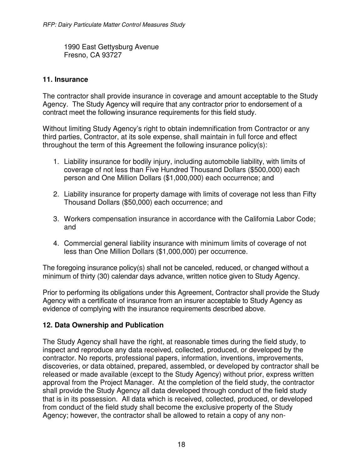1990 East Gettysburg Avenue Fresno, CA 93727

### **11. Insurance**

The contractor shall provide insurance in coverage and amount acceptable to the Study Agency. The Study Agency will require that any contractor prior to endorsement of a contract meet the following insurance requirements for this field study.

Without limiting Study Agency's right to obtain indemnification from Contractor or any third parties, Contractor, at its sole expense, shall maintain in full force and effect throughout the term of this Agreement the following insurance policy(s):

- 1. Liability insurance for bodily injury, including automobile liability, with limits of coverage of not less than Five Hundred Thousand Dollars (\$500,000) each person and One Million Dollars (\$1,000,000) each occurrence; and
- 2. Liability insurance for property damage with limits of coverage not less than Fifty Thousand Dollars (\$50,000) each occurrence; and
- 3. Workers compensation insurance in accordance with the California Labor Code; and
- 4. Commercial general liability insurance with minimum limits of coverage of not less than One Million Dollars (\$1,000,000) per occurrence.

The foregoing insurance policy(s) shall not be canceled, reduced, or changed without a minimum of thirty (30) calendar days advance, written notice given to Study Agency.

Prior to performing its obligations under this Agreement, Contractor shall provide the Study Agency with a certificate of insurance from an insurer acceptable to Study Agency as evidence of complying with the insurance requirements described above.

### **12. Data Ownership and Publication**

The Study Agency shall have the right, at reasonable times during the field study, to inspect and reproduce any data received, collected, produced, or developed by the contractor. No reports, professional papers, information, inventions, improvements, discoveries, or data obtained, prepared, assembled, or developed by contractor shall be released or made available (except to the Study Agency) without prior, express written approval from the Project Manager. At the completion of the field study, the contractor shall provide the Study Agency all data developed through conduct of the field study that is in its possession. All data which is received, collected, produced, or developed from conduct of the field study shall become the exclusive property of the Study Agency; however, the contractor shall be allowed to retain a copy of any non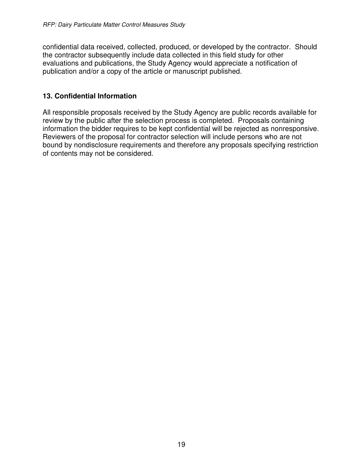confidential data received, collected, produced, or developed by the contractor. Should the contractor subsequently include data collected in this field study for other evaluations and publications, the Study Agency would appreciate a notification of publication and/or a copy of the article or manuscript published.

### **13. Confidential Information**

All responsible proposals received by the Study Agency are public records available for review by the public after the selection process is completed. Proposals containing information the bidder requires to be kept confidential will be rejected as nonresponsive. Reviewers of the proposal for contractor selection will include persons who are not bound by nondisclosure requirements and therefore any proposals specifying restriction of contents may not be considered.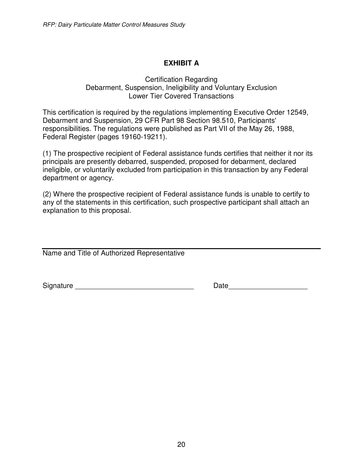# **EXHIBIT A**

#### Certification Regarding Debarment, Suspension, Ineligibility and Voluntary Exclusion Lower Tier Covered Transactions

This certification is required by the regulations implementing Executive Order 12549, Debarment and Suspension, 29 CFR Part 98 Section 98.510, Participants' responsibilities. The regulations were published as Part VII of the May 26, 1988, Federal Register (pages 19160-19211).

(1) The prospective recipient of Federal assistance funds certifies that neither it nor its principals are presently debarred, suspended, proposed for debarment, declared ineligible, or voluntarily excluded from participation in this transaction by any Federal department or agency.

(2) Where the prospective recipient of Federal assistance funds is unable to certify to any of the statements in this certification, such prospective participant shall attach an explanation to this proposal.

Name and Title of Authorized Representative

Signature \_\_\_\_\_\_\_\_\_\_\_\_\_\_\_\_\_\_\_\_\_\_\_\_\_\_\_\_\_\_ Date\_\_\_\_\_\_\_\_\_\_\_\_\_\_\_\_\_\_\_\_